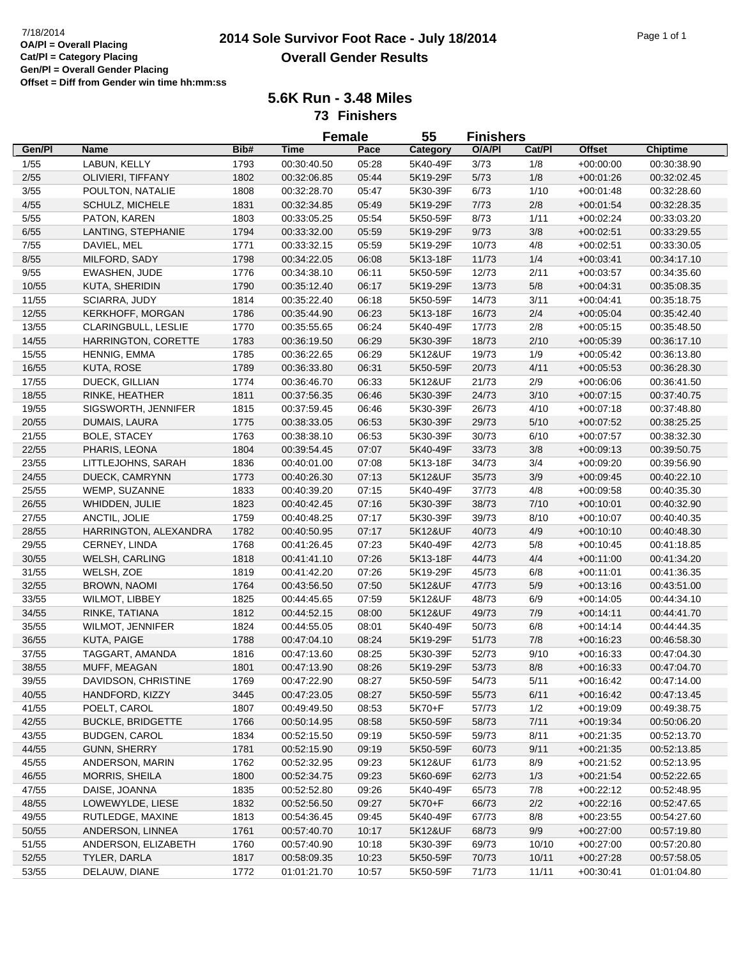## **2014 Sole Survivor Foot Race - July 18/2014** 7/18/2014 Page 1 of 1 **Overall Gender Results**

**5.6K Run - 3.48 Miles 73 Finishers**

**Gen/Pl Name Bib# Time Pace Category O/A/Pl Cat/Pl Female**<br>Pace **Chiptime 55 Finishers Offset** 1/55 LABUN, KELLY 1793 00:30:40.50 05:28 5K40-49F 3/73 1/8 +00:00:00 00:30:38.90 2/55 OLIVIERI, TIFFANY 1802 00:32:06.85 05:44 5K19-29F 5/73 1/8 +00:01:26 00:32:02.45 3/55 POULTON, NATALIE 1808 00:32:28.70 05:47 5K30-39F 6/73 1/10 +00:01:48 00:32:28.60 4/55 SCHULZ, MICHELE 1831 00:32:34.85 05:49 5K19-29F 7/73 2/8 +00:01:54 00:32:28.35 5/55 PATON, KAREN 1803 00:33:05.25 05:54 5K50-59F 8/73 1/11 +00:02:24 00:33:03.20 6/55 LANTING, STEPHANIE 1794 00:33:32.00 05:59 5K19-29F 9/73 3/8 +00:02:51 00:33:29.55 7/55 DAVIEL, MEL 1771 00:33:32.15 05:59 5K19-29F 10/73 4/8 +00:02:51 00:33:30.05 8/55 MILFORD, SADY 1798 00:34:22.05 06:08 5K13-18F 11/73 1/4 +00:03:41 00:34:17.10 9/55 EWASHEN, JUDE 1776 00:34:38.10 06:11 5K50-59F 12/73 2/11 +00:03:57 00:34:35.60 10/55 KUTA, SHERIDIN 1790 00:35:12.40 06:17 5K19-29F 13/73 5/8 +00:04:31 00:35:08.35 11/55 SCIARRA, JUDY 1814 00:35:22.40 06:18 5K50-59F 14/73 3/11 +00:04:41 00:35:18.75 12/55 KERKHOFF, MORGAN 1786 00:35:44.90 06:23 5K13-18F 16/73 2/4 +00:05:04 00:35:42.40 13/55 CLARINGBULL, LESLIE 1770 00:35:55.65 06:24 5K40-49F 17/73 2/8 +00:05:15 00:35:48.50 14/55 HARRINGTON, CORETTE 1783 00:36:19.50 06:29 5K30-39F 18/73 2/10 +00:05:39 00:36:17.10 15/55 HENNIG, EMMA 1785 00:36:22.65 06:29 5K12&UF 19/73 1/9 +00:05:42 00:36:13.80 16/55 KUTA, ROSE 1789 00:36:33.80 06:31 5K50-59F 20/73 4/11 +00:05:53 00:36:28.30 17/55 DUECK, GILLIAN 1774 00:36:46.70 06:33 5K12&UF 21/73 2/9 +00:06:06 00:36:41.50 18/55 RINKE, HEATHER 1811 00:37:56.35 06:46 5K30-39F 24/73 3/10 +00:07:15 00:37:40.75 19/55 SIGSWORTH, JENNIFER 1815 00:37:59.45 06:46 5K30-39F 26/73 4/10 +00:07:18 00:37:48.80 20/55 DUMAIS, LAURA 1775 00:38:33.05 06:53 5K30-39F 29/73 5/10 +00:07:52 00:38:25.25 21/55 BOLE, STACEY 1763 00:38:38.10 06:53 5K30-39F 30/73 6/10 +00:07:57 00:38:32.30 22/55 PHARIS, LEONA 1804 00:39:54.45 07:07 5K40-49F 33/73 3/8 +00:09:13 00:39:50.75 23/55 LITTLEJOHNS, SARAH 1836 00:40:01.00 07:08 5K13-18F 34/73 3/4 +00:09:20 00:39:56.90 24/55 DUECK, CAMRYNN 1773 00:40:26.30 07:13 5K12&UF 35/73 3/9 +00:09:45 00:40:22.10 25/55 WEMP, SUZANNE 1833 00:40:39.20 07:15 5K40-49F 37/73 4/8 +00:09:58 00:40:35.30 26/55 WHIDDEN, JULIE 1823 00:40:42.45 07:16 5K30-39F 38/73 7/10 +00:10:01 00:40:32.90 27/55 ANCTIL, JOLIE 1759 00:40:48.25 07:17 5K30-39F 39/73 8/10 +00:10:07 00:40:40.35 28/55 HARRINGTON, ALEXANDRA 1782 00:40:50.95 07:17 5K12&UF 40/73 4/9 +00:10:10 00:40:48.30 29/55 CERNEY, LINDA 1768 00:41:26.45 07:23 5K40-49F 42/73 5/8 +00:10:45 00:41:18.85 30/55 WELSH, CARLING 1818 00:41:41.10 07:26 5K13-18F 44/73 4/4 +00:11:00 00:41:34.20 31/55 WELSH, ZOE 1819 00:41:42.20 07:26 5K19-29F 45/73 6/8 +00:11:01 00:41:36.35 32/55 BROWN, NAOMI 1764 00:43:56.50 07:50 5K12&UF 47/73 5/9 +00:13:16 00:43:51.00 33/55 WILMOT, LIBBEY 1825 00:44:45.65 07:59 5K12&UF 48/73 6/9 +00:14:05 00:44:34.10 34/55 RINKE, TATIANA 1812 00:44:52.15 08:00 5K12&UF 49/73 7/9 +00:14:11 00:44:41.70 35/55 WILMOT, JENNIFER 1824 00:44:55.05 08:01 5K40-49F 50/73 6/8 +00:14:14 00:44:44.35 36/55 KUTA, PAIGE 1788 00:47:04.10 08:24 5K19-29F 51/73 7/8 +00:16:23 00:46:58.30 37/55 TAGGART, AMANDA 1816 00:47:13.60 08:25 5K30-39F 52/73 9/10 +00:16:33 00:47:04.30 38/55 MUFF, MEAGAN 1801 00:47:13.90 08:26 5K19-29F 53/73 8/8 +00:16:33 00:47:04.70 39/55 DAVIDSON, CHRISTINE 1769 00:47:22.90 08:27 5K50-59F 54/73 5/11 +00:16:42 00:47:14.00 40/55 HANDFORD, KIZZY 3445 00:47:23.05 08:27 5K50-59F 55/73 6/11 +00:16:42 00:47:13.45 41/55 POELT, CAROL 1807 00:49:49.50 08:53 5K70+F 57/73 1/2 +00:19:09 00:49:38.75 42/55 BUCKLE, BRIDGETTE 1766 00:50:14.95 08:58 5K50-59F 58/73 7/11 +00:19:34 00:50:06.20 43/55 BUDGEN, CAROL 1834 00:52:15.50 09:19 5K50-59F 59/73 8/11 +00:21:35 00:52:13.70 44/55 GUNN, SHERRY 1781 00:52:15.90 09:19 5K50-59F 60/73 9/11 +00:21:35 00:52:13.85 45/55 ANDERSON, MARIN 1762 00:52:32.95 09:23 5K12&UF 61/73 8/9 +00:21:52 00:52:13.95 46/55 MORRIS, SHEILA 1800 00:52:34.75 09:23 5K60-69F 62/73 1/3 +00:21:54 00:52:22.65 47/55 DAISE, JOANNA 1835 00:52:52.80 09:26 5K40-49F 65/73 7/8 +00:22:12 00:52:48.95 48/55 LOWEWYLDE, LIESE 1832 00:52:56.50 09:27 5K70+F 66/73 2/2 +00:22:16 00:52:47.65 49/55 RUTLEDGE, MAXINE 1813 00:54:36.45 09:45 5K40-49F 67/73 8/8 +00:23:55 00:54:27.60 50/55 ANDERSON, LINNEA 1761 00:57:40.70 10:17 5K12&UF 68/73 9/9 +00:27:00 00:57:19.80 51/55 ANDERSON, ELIZABETH 1760 00:57:40.90 10:18 5K30-39F 69/73 10/10 +00:27:00 00:57:20.80 52/55 TYLER, DARLA 1817 00:58:09.35 10:23 5K50-59F 70/73 10/11 +00:27:28 00:57:58.05 53/55 DELAUW, DIANE 1772 01:01:21.70 10:57 5K50-59F 71/73 11/11 +00:30:41 01:01:04.80